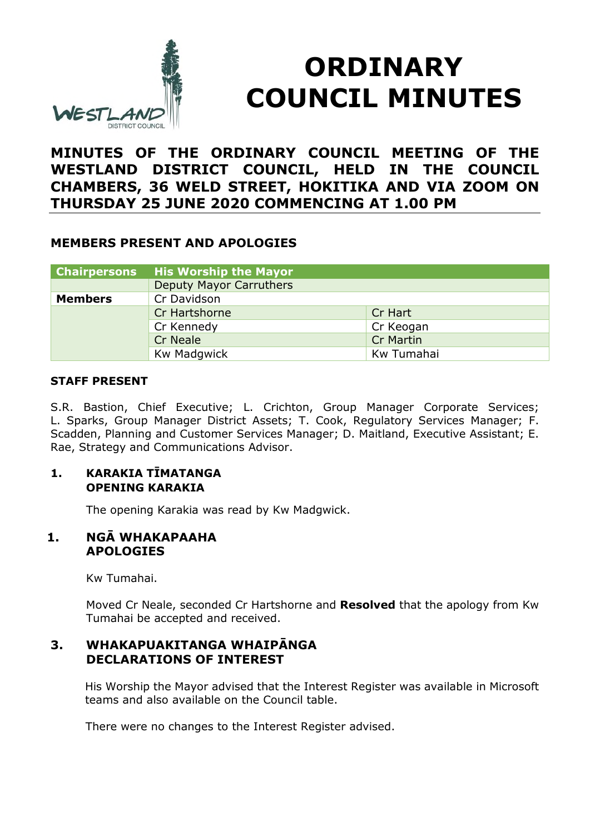

# **ORDINARY COUNCIL MINUTES**

# **MINUTES OF THE ORDINARY COUNCIL MEETING OF THE WESTLAND DISTRICT COUNCIL, HELD IN THE COUNCIL CHAMBERS, 36 WELD STREET, HOKITIKA AND VIA ZOOM ON THURSDAY 25 JUNE 2020 COMMENCING AT 1.00 PM**

### **MEMBERS PRESENT AND APOLOGIES**

| <b>Chairpersons</b> | <b>His Worship the Mayor</b>   |                  |
|---------------------|--------------------------------|------------------|
|                     | <b>Deputy Mayor Carruthers</b> |                  |
| <b>Members</b>      | Cr Davidson                    |                  |
|                     | Cr Hartshorne                  | Cr Hart          |
|                     | Cr Kennedy                     | Cr Keogan        |
|                     | <b>Cr Neale</b>                | <b>Cr Martin</b> |
|                     | Kw Madgwick                    | Kw Tumahai       |

#### **STAFF PRESENT**

S.R. Bastion, Chief Executive; L. Crichton, Group Manager Corporate Services; L. Sparks, Group Manager District Assets; T. Cook, Regulatory Services Manager; F. Scadden, Planning and Customer Services Manager; D. Maitland, Executive Assistant; E. Rae, Strategy and Communications Advisor.

#### **1. KARAKIA TĪMATANGA OPENING KARAKIA**

The opening Karakia was read by Kw Madgwick.

#### **1. NGĀ WHAKAPAAHA APOLOGIES**

Kw Tumahai.

Moved Cr Neale, seconded Cr Hartshorne and **Resolved** that the apology from Kw Tumahai be accepted and received.

#### **3. WHAKAPUAKITANGA WHAIPĀNGA DECLARATIONS OF INTEREST**

His Worship the Mayor advised that the Interest Register was available in Microsoft teams and also available on the Council table.

There were no changes to the Interest Register advised.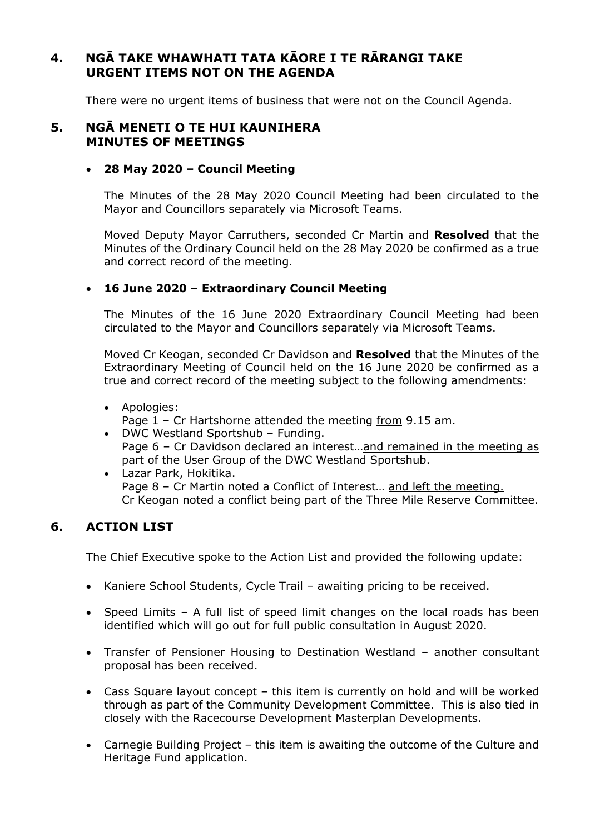# **4. NGĀ TAKE WHAWHATI TATA KĀORE I TE RĀRANGI TAKE URGENT ITEMS NOT ON THE AGENDA**

There were no urgent items of business that were not on the Council Agenda.

#### **5. NGĀ MENETI O TE HUI KAUNIHERA MINUTES OF MEETINGS**

#### **28 May 2020 – Council Meeting**

The Minutes of the 28 May 2020 Council Meeting had been circulated to the Mayor and Councillors separately via Microsoft Teams.

Moved Deputy Mayor Carruthers, seconded Cr Martin and **Resolved** that the Minutes of the Ordinary Council held on the 28 May 2020 be confirmed as a true and correct record of the meeting.

#### **16 June 2020 – Extraordinary Council Meeting**

The Minutes of the 16 June 2020 Extraordinary Council Meeting had been circulated to the Mayor and Councillors separately via Microsoft Teams.

Moved Cr Keogan, seconded Cr Davidson and **Resolved** that the Minutes of the Extraordinary Meeting of Council held on the 16 June 2020 be confirmed as a true and correct record of the meeting subject to the following amendments:

#### Apologies:

Page 1 – Cr Hartshorne attended the meeting from 9.15 am.

- DWC Westland Sportshub Funding. Page 6 – Cr Davidson declared an interest...and remained in the meeting as part of the User Group of the DWC Westland Sportshub.
- Lazar Park, Hokitika. Page 8 - Cr Martin noted a Conflict of Interest... and left the meeting. Cr Keogan noted a conflict being part of the Three Mile Reserve Committee.

# **6. ACTION LIST**

The Chief Executive spoke to the Action List and provided the following update:

- Kaniere School Students, Cycle Trail awaiting pricing to be received.
- Speed Limits A full list of speed limit changes on the local roads has been identified which will go out for full public consultation in August 2020.
- Transfer of Pensioner Housing to Destination Westland another consultant proposal has been received.
- Cass Square layout concept this item is currently on hold and will be worked through as part of the Community Development Committee. This is also tied in closely with the Racecourse Development Masterplan Developments.
- Carnegie Building Project this item is awaiting the outcome of the Culture and Heritage Fund application.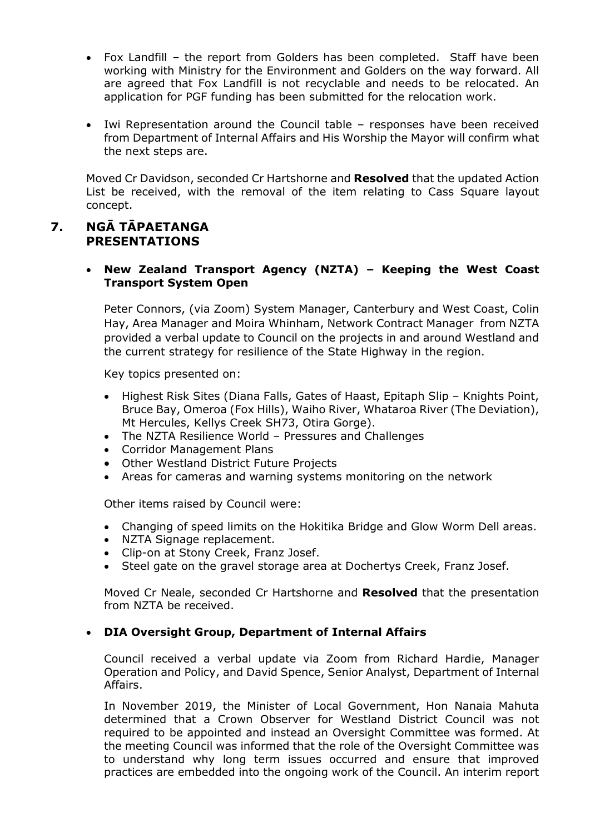- Fox Landfill the report from Golders has been completed. Staff have been working with Ministry for the Environment and Golders on the way forward. All are agreed that Fox Landfill is not recyclable and needs to be relocated. An application for PGF funding has been submitted for the relocation work.
- Iwi Representation around the Council table responses have been received from Department of Internal Affairs and His Worship the Mayor will confirm what the next steps are.

Moved Cr Davidson, seconded Cr Hartshorne and **Resolved** that the updated Action List be received, with the removal of the item relating to Cass Square layout concept.

#### **7. NGĀ TĀPAETANGA PRESENTATIONS**

#### **New Zealand Transport Agency (NZTA) – Keeping the West Coast Transport System Open**

Peter Connors, (via Zoom) System Manager, Canterbury and West Coast, Colin Hay, Area Manager and Moira Whinham, Network Contract Manager from NZTA provided a verbal update to Council on the projects in and around Westland and the current strategy for resilience of the State Highway in the region.

Key topics presented on:

- Highest Risk Sites (Diana Falls, Gates of Haast, Epitaph Slip Knights Point, Bruce Bay, Omeroa (Fox Hills), Waiho River, Whataroa River (The Deviation), Mt Hercules, Kellys Creek SH73, Otira Gorge).
- The NZTA Resilience World Pressures and Challenges
- Corridor Management Plans
- Other Westland District Future Projects
- Areas for cameras and warning systems monitoring on the network

Other items raised by Council were:

- Changing of speed limits on the Hokitika Bridge and Glow Worm Dell areas.
- NZTA Signage replacement.
- Clip-on at Stony Creek, Franz Josef.
- Steel gate on the gravel storage area at Dochertys Creek, Franz Josef.

Moved Cr Neale, seconded Cr Hartshorne and **Resolved** that the presentation from NZTA be received.

#### **DIA Oversight Group, Department of Internal Affairs**

Council received a verbal update via Zoom from Richard Hardie, Manager Operation and Policy, and David Spence, Senior Analyst, Department of Internal Affairs.

In November 2019, the Minister of Local Government, Hon Nanaia Mahuta determined that a Crown Observer for Westland District Council was not required to be appointed and instead an Oversight Committee was formed. At the meeting Council was informed that the role of the Oversight Committee was to understand why long term issues occurred and ensure that improved practices are embedded into the ongoing work of the Council. An interim report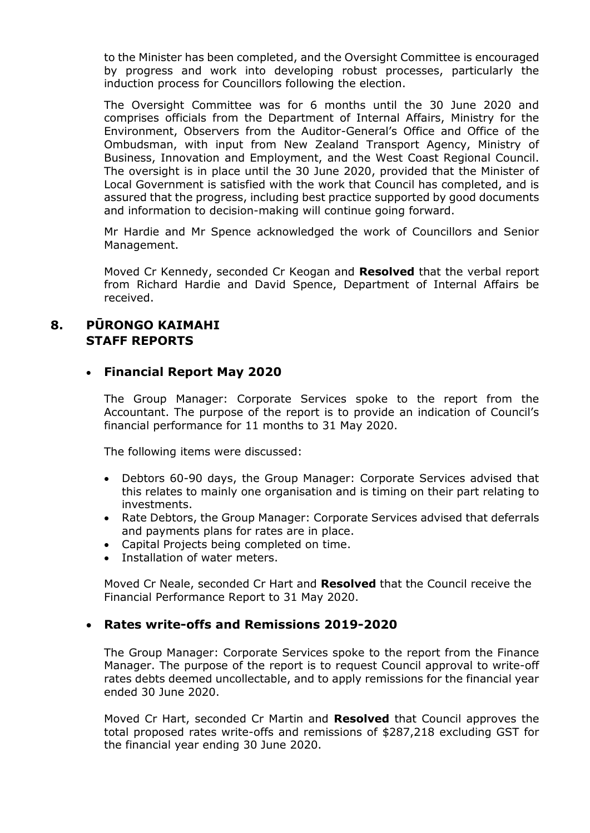to the Minister has been completed, and the Oversight Committee is encouraged by progress and work into developing robust processes, particularly the induction process for Councillors following the election.

The Oversight Committee was for 6 months until the 30 June 2020 and comprises officials from the Department of Internal Affairs, Ministry for the Environment, Observers from the Auditor-General's Office and Office of the Ombudsman, with input from New Zealand Transport Agency, Ministry of Business, Innovation and Employment, and the West Coast Regional Council. The oversight is in place until the 30 June 2020, provided that the Minister of Local Government is satisfied with the work that Council has completed, and is assured that the progress, including best practice supported by good documents and information to decision-making will continue going forward.

Mr Hardie and Mr Spence acknowledged the work of Councillors and Senior Management.

Moved Cr Kennedy, seconded Cr Keogan and **Resolved** that the verbal report from Richard Hardie and David Spence, Department of Internal Affairs be received.

#### **8. PŪRONGO KAIMAHI STAFF REPORTS**

#### **Financial Report May 2020**

The Group Manager: Corporate Services spoke to the report from the Accountant. The purpose of the report is to provide an indication of Council's financial performance for 11 months to 31 May 2020.

The following items were discussed:

- Debtors 60-90 days, the Group Manager: Corporate Services advised that this relates to mainly one organisation and is timing on their part relating to investments.
- Rate Debtors, the Group Manager: Corporate Services advised that deferrals and payments plans for rates are in place.
- Capital Projects being completed on time.
- Installation of water meters.

Moved Cr Neale, seconded Cr Hart and **Resolved** that the Council receive the Financial Performance Report to 31 May 2020.

#### **Rates write-offs and Remissions 2019-2020**

The Group Manager: Corporate Services spoke to the report from the Finance Manager. The purpose of the report is to request Council approval to write-off rates debts deemed uncollectable, and to apply remissions for the financial year ended 30 June 2020.

Moved Cr Hart, seconded Cr Martin and **Resolved** that Council approves the total proposed rates write-offs and remissions of \$287,218 excluding GST for the financial year ending 30 June 2020.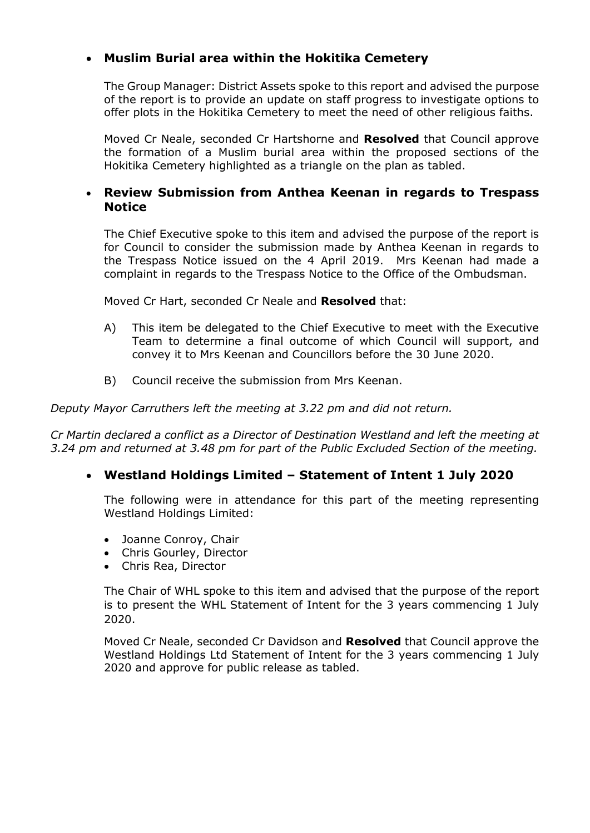## **Muslim Burial area within the Hokitika Cemetery**

The Group Manager: District Assets spoke to this report and advised the purpose of the report is to provide an update on staff progress to investigate options to offer plots in the Hokitika Cemetery to meet the need of other religious faiths.

Moved Cr Neale, seconded Cr Hartshorne and **Resolved** that Council approve the formation of a Muslim burial area within the proposed sections of the Hokitika Cemetery highlighted as a triangle on the plan as tabled.

#### **Review Submission from Anthea Keenan in regards to Trespass Notice**

The Chief Executive spoke to this item and advised the purpose of the report is for Council to consider the submission made by Anthea Keenan in regards to the Trespass Notice issued on the 4 April 2019. Mrs Keenan had made a complaint in regards to the Trespass Notice to the Office of the Ombudsman.

Moved Cr Hart, seconded Cr Neale and **Resolved** that:

- A) This item be delegated to the Chief Executive to meet with the Executive Team to determine a final outcome of which Council will support, and convey it to Mrs Keenan and Councillors before the 30 June 2020.
- B) Council receive the submission from Mrs Keenan.

*Deputy Mayor Carruthers left the meeting at 3.22 pm and did not return.* 

*Cr Martin declared a conflict as a Director of Destination Westland and left the meeting at 3.24 pm and returned at 3.48 pm for part of the Public Excluded Section of the meeting.* 

#### **Westland Holdings Limited – Statement of Intent 1 July 2020**

The following were in attendance for this part of the meeting representing Westland Holdings Limited:

- Joanne Conroy, Chair
- Chris Gourley, Director
- Chris Rea, Director

The Chair of WHL spoke to this item and advised that the purpose of the report is to present the WHL Statement of Intent for the 3 years commencing 1 July 2020.

Moved Cr Neale, seconded Cr Davidson and **Resolved** that Council approve the Westland Holdings Ltd Statement of Intent for the 3 years commencing 1 July 2020 and approve for public release as tabled.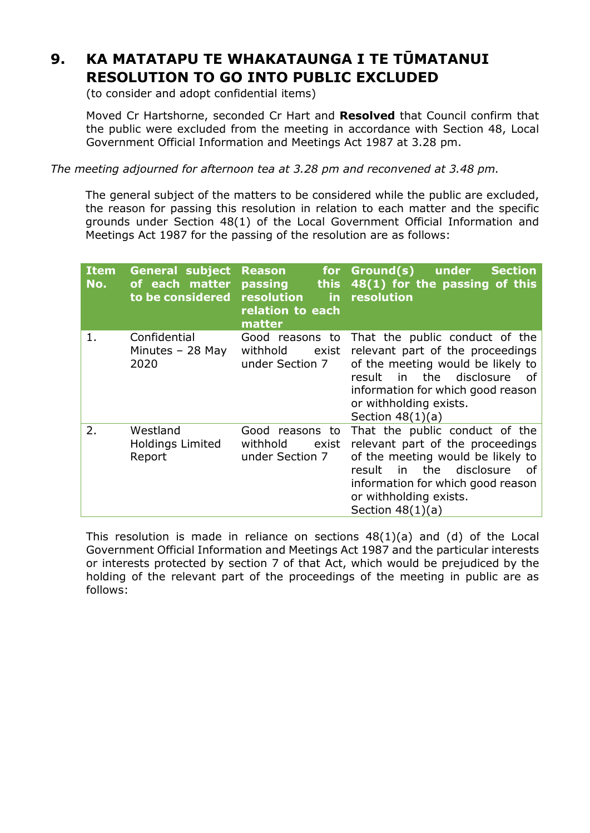# **9. KA MATATAPU TE WHAKATAUNGA I TE TŪMATANUI RESOLUTION TO GO INTO PUBLIC EXCLUDED**

(to consider and adopt confidential items)

Moved Cr Hartshorne, seconded Cr Hart and **Resolved** that Council confirm that the public were excluded from the meeting in accordance with Section 48, Local Government Official Information and Meetings Act 1987 at 3.28 pm.

*The meeting adjourned for afternoon tea at 3.28 pm and reconvened at 3.48 pm.* 

The general subject of the matters to be considered while the public are excluded, the reason for passing this resolution in relation to each matter and the specific grounds under Section 48(1) of the Local Government Official Information and Meetings Act 1987 for the passing of the resolution are as follows:

| <b>Item</b><br>No. | <b>General subject</b><br>of each matter<br>to be considered | <b>Reason</b><br>for <b>s</b><br>passing<br><b>this</b><br>resolution<br>in.<br>relation to each<br>matter | Ground(s)<br>under<br><b>Section</b><br>48(1) for the passing of this<br>resolution                                                                                                                                               |
|--------------------|--------------------------------------------------------------|------------------------------------------------------------------------------------------------------------|-----------------------------------------------------------------------------------------------------------------------------------------------------------------------------------------------------------------------------------|
| 1.                 | Confidential<br>Minutes - 28 May<br>2020                     | Good reasons to<br>withhold<br>exist<br>under Section 7                                                    | That the public conduct of the<br>relevant part of the proceedings<br>of the meeting would be likely to<br>in the disclosure<br>result<br>of<br>information for which good reason<br>or withholding exists.<br>Section $48(1)(a)$ |
| 2.                 | Westland<br><b>Holdings Limited</b><br>Report                | Good reasons to<br>withhold<br>exist<br>under Section 7                                                    | That the public conduct of the<br>relevant part of the proceedings<br>of the meeting would be likely to<br>in the disclosure<br>result<br>of<br>information for which good reason<br>or withholding exists.<br>Section $48(1)(a)$ |

This resolution is made in reliance on sections  $48(1)(a)$  and  $(d)$  of the Local Government Official Information and Meetings Act 1987 and the particular interests or interests protected by section 7 of that Act, which would be prejudiced by the holding of the relevant part of the proceedings of the meeting in public are as follows: